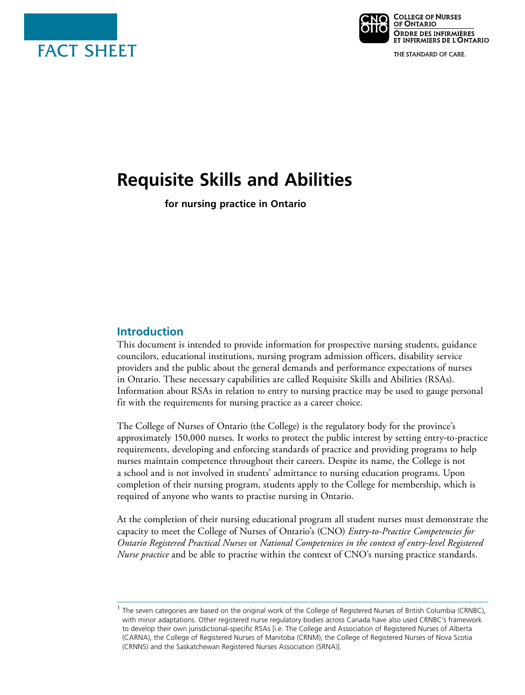



THE STANDARD OF CARE.

# **Requisite Skills and Abilities**

**for nursing practice in Ontario** 

## **Introduction**

This document is intended to provide information for prospective nursing students, guidance councilors, educational institutions, nursing program admission officers, disability service providers and the public about the general demands and performance expectations of nurses in Ontario. These necessary capabilities are called Requisite Skills and Abilities (RSAs). Information about RSAs in relation to entry to nursing practice may be used to gauge personal fit with the requirements for nursing practice as a career choice.

The College of Nurses of Ontario (the College) is the regulatory body for the province's approximately 150,000 nurses. It works to protect the public interest by setting entry-to-practice requirements, developing and enforcing standards of practice and providing programs to help nurses maintain competence throughout their careers. Despite its name, the College is not a school and is not involved in students' admittance to nursing education programs. Upon completion of their nursing program, students apply to the College for membership, which is required of anyone who wants to practise nursing in Ontario.

At the completion of their nursing educational program all student nurses must demonstrate the capacity to meet the College of Nurses of Ontario's (CNO) *Entry-to-Practice Competencies for Ontario Registered Practical Nurses* or *National Competenices in the context of entry-level Registered Nurse practice* and be able to practise within the context of CNO's nursing practice standards.

<sup>&</sup>lt;sup>1</sup> The seven categories are based on the original work of the College of Registered Nurses of British Columbia (CRNBC), with minor adaptations. Other registered nurse regulatory bodies across Canada have also used CRNBC's framework to develop their own jurisdictional-specific RSAs [i.e. The College and Association of Registered Nurses of Alberta (CARNA), the College of Registered Nurses of Manitoba (CRNM), the College of Registered Nurses of Nova Scotia (CRNNS) and the Saskatchewan Registered Nurses Association (SRNA)].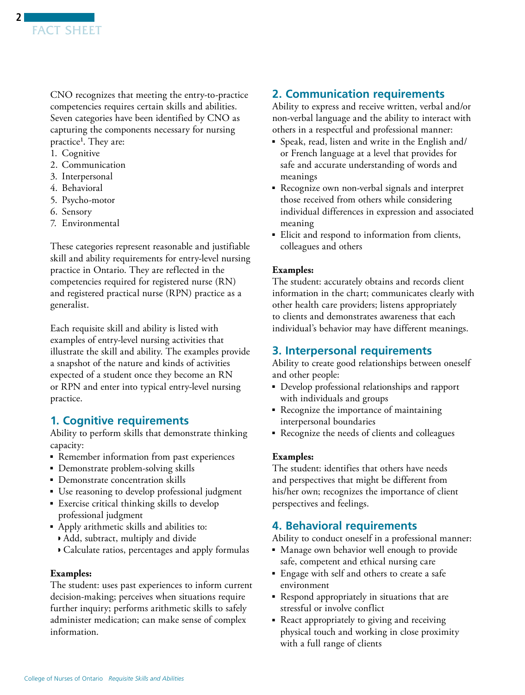CNO recognizes that meeting the entry-to-practice competencies requires certain skills and abilities. Seven categories have been identified by CNO as capturing the components necessary for nursing practice<sup>1</sup>. They are:

- 1. Cognitive
- 2. Communication
- 3. Interpersonal
- 4. Behavioral
- 5. Psycho-motor
- 6. Sensory
- 7. Environmental

These categories represent reasonable and justifiable skill and ability requirements for entry-level nursing practice in Ontario. They are reflected in the competencies required for registered nurse (RN) and registered practical nurse (RPN) practice as a generalist.

Each requisite skill and ability is listed with examples of entry-level nursing activities that illustrate the skill and ability. The examples provide a snapshot of the nature and kinds of activities expected of a student once they become an RN or RPN and enter into typical entry-level nursing practice.

# **1. Cognitive requirements**

Ability to perform skills that demonstrate thinking capacity:

- Remember information from past experiences
- Demonstrate problem-solving skills
- Demonstrate concentration skills
- Use reasoning to develop professional judgment
- Exercise critical thinking skills to develop professional judgment
- Apply arithmetic skills and abilities to:
	- ◗ Add, subtract, multiply and divide
	- ◗ Calculate ratios, percentages and apply formulas

## **Examples:**

The student: uses past experiences to inform current decision-making; perceives when situations require further inquiry; performs arithmetic skills to safely administer medication; can make sense of complex information.

# **2. Communication requirements**

Ability to express and receive written, verbal and/or non-verbal language and the ability to interact with others in a respectful and professional manner:

- Speak, read, listen and write in the English and/ or French language at a level that provides for safe and accurate understanding of words and meanings
- Recognize own non-verbal signals and interpret those received from others while considering individual differences in expression and associated meaning
- Elicit and respond to information from clients, colleagues and others

## **Examples:**

The student: accurately obtains and records client information in the chart; communicates clearly with other health care providers; listens appropriately to clients and demonstrates awareness that each individual's behavior may have different meanings.

# **3. Interpersonal requirements**

Ability to create good relationships between oneself and other people:

- Develop professional relationships and rapport with individuals and groups
- Recognize the importance of maintaining interpersonal boundaries
- Recognize the needs of clients and colleagues

## **Examples:**

The student: identifies that others have needs and perspectives that might be different from his/her own; recognizes the importance of client perspectives and feelings.

# **4. Behavioral requirements**

Ability to conduct oneself in a professional manner:

- Manage own behavior well enough to provide safe, competent and ethical nursing care
- Engage with self and others to create a safe environment
- Respond appropriately in situations that are stressful or involve conflict
- React appropriately to giving and receiving physical touch and working in close proximity with a full range of clients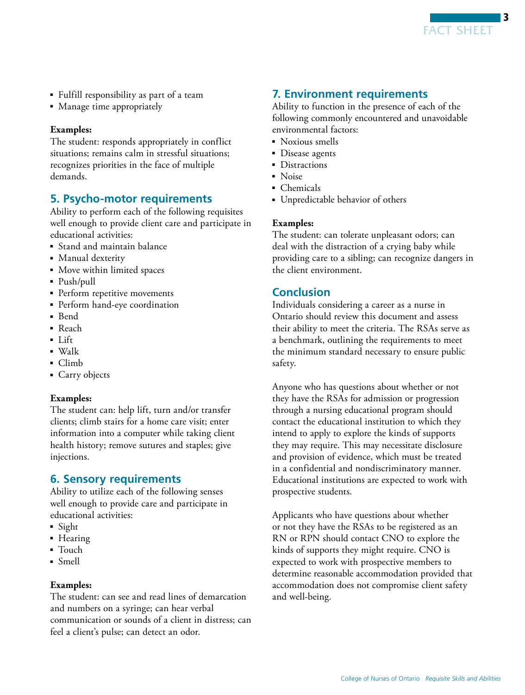

- Fulfill responsibility as part of a team
- Manage time appropriately

#### **Examples:**

The student: responds appropriately in conflict situations; remains calm in stressful situations; recognizes priorities in the face of multiple demands.

## **5. Psycho-motor requirements**

Ability to perform each of the following requisites well enough to provide client care and participate in educational activities:

- Stand and maintain balance
- Manual dexterity
- Move within limited spaces
- Push/pull
- Perform repetitive movements
- Perform hand-eye coordination
- Bend
- Reach
- Lift
- Walk
- Climb
- Carry objects

#### **Examples:**

The student can: help lift, turn and/or transfer clients; climb stairs for a home care visit; enter information into a computer while taking client health history; remove sutures and staples; give injections.

#### **6. Sensory requirements**

Ability to utilize each of the following senses well enough to provide care and participate in educational activities:

- Sight
- Hearing
- Touch
- Smell

#### **Examples:**

The student: can see and read lines of demarcation and numbers on a syringe; can hear verbal communication or sounds of a client in distress; can feel a client's pulse; can detect an odor.

# **7. Environment requirements**

Ability to function in the presence of each of the following commonly encountered and unavoidable environmental factors:

- Noxious smells
- Disease agents
- Distractions
- Noise
- Chemicals
- Unpredictable behavior of others

#### **Examples:**

The student: can tolerate unpleasant odors; can deal with the distraction of a crying baby while providing care to a sibling; can recognize dangers in the client environment.

#### **Conclusion**

Individuals considering a career as a nurse in Ontario should review this document and assess their ability to meet the criteria. The RSAs serve as a benchmark, outlining the requirements to meet the minimum standard necessary to ensure public safety.

Anyone who has questions about whether or not they have the RSAs for admission or progression through a nursing educational program should contact the educational institution to which they intend to apply to explore the kinds of supports they may require. This may necessitate disclosure and provision of evidence, which must be treated in a confidential and nondiscriminatory manner. Educational institutions are expected to work with prospective students.

Applicants who have questions about whether or not they have the RSAs to be registered as an RN or RPN should contact CNO to explore the kinds of supports they might require. CNO is expected to work with prospective members to determine reasonable accommodation provided that accommodation does not compromise client safety and well-being.